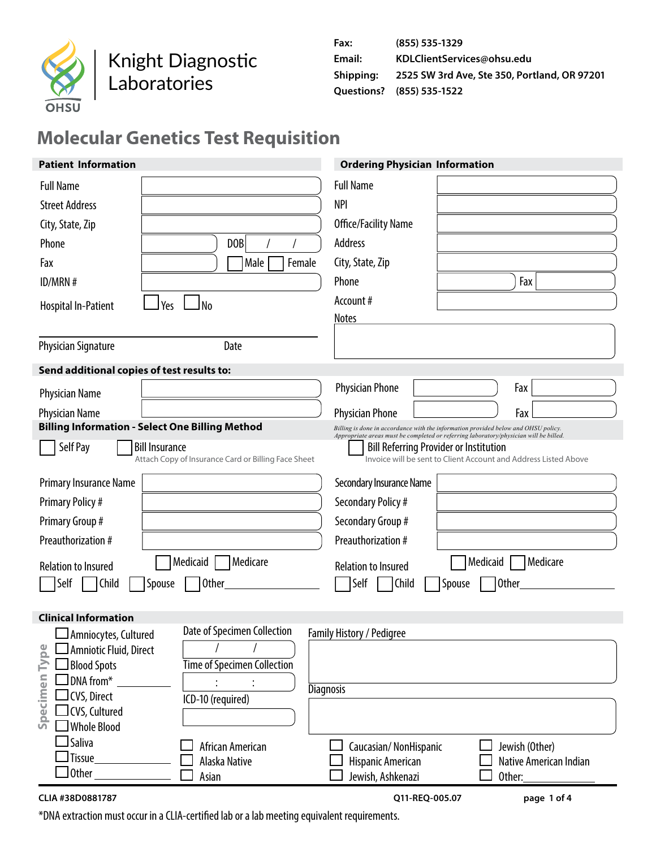

# Knight Diagnostic Laboratories

| Fax:      | (855) 535-1329                               |
|-----------|----------------------------------------------|
| Email:    | KDLClientServices@ohsu.edu                   |
| Shipping: | 2525 SW 3rd Ave, Ste 350, Portland, OR 97201 |
|           | <b>Questions?</b> (855) 535-1522             |

## **Molecular Genetics Test Requisition**

| <b>Patient Information</b>                             |                                                     | <b>Ordering Physician Information</b>                                                                                                                                       |  |  |  |
|--------------------------------------------------------|-----------------------------------------------------|-----------------------------------------------------------------------------------------------------------------------------------------------------------------------------|--|--|--|
| <b>Full Name</b>                                       |                                                     | <b>Full Name</b>                                                                                                                                                            |  |  |  |
| <b>Street Address</b>                                  |                                                     | <b>NPI</b>                                                                                                                                                                  |  |  |  |
| City, State, Zip                                       |                                                     | Office/Facility Name                                                                                                                                                        |  |  |  |
| Phone                                                  | D <sub>OB</sub>                                     | Address                                                                                                                                                                     |  |  |  |
| Fax                                                    | Female<br>Male                                      | City, State, Zip                                                                                                                                                            |  |  |  |
| ID/MRN #                                               |                                                     | Fax<br>Phone                                                                                                                                                                |  |  |  |
| Yes<br><b>Hospital In-Patient</b>                      | N <sub>o</sub>                                      | Account#                                                                                                                                                                    |  |  |  |
|                                                        |                                                     | <b>Notes</b>                                                                                                                                                                |  |  |  |
| <b>Physician Signature</b>                             | Date                                                |                                                                                                                                                                             |  |  |  |
| Send additional copies of test results to:             |                                                     |                                                                                                                                                                             |  |  |  |
| <b>Physician Name</b>                                  |                                                     | <b>Physician Phone</b><br>Fax                                                                                                                                               |  |  |  |
| Physician Name                                         |                                                     | <b>Physician Phone</b><br>Fax                                                                                                                                               |  |  |  |
| <b>Billing Information - Select One Billing Method</b> |                                                     | Billing is done in accordance with the information provided below and OHSU policy.<br>Appropriate areas must be completed or referring laboratory/physician will be billed. |  |  |  |
| Self Pay<br><b>Bill Insurance</b>                      | Attach Copy of Insurance Card or Billing Face Sheet | <b>Bill Referring Provider or Institution</b><br>Invoice will be sent to Client Account and Address Listed Above                                                            |  |  |  |
| Primary Insurance Name                                 |                                                     | Secondary Insurance Name                                                                                                                                                    |  |  |  |
| <b>Primary Policy #</b>                                |                                                     | Secondary Policy #                                                                                                                                                          |  |  |  |
| Primary Group #                                        |                                                     | Secondary Group #                                                                                                                                                           |  |  |  |
| Preauthorization #                                     |                                                     | Preauthorization #                                                                                                                                                          |  |  |  |
| <b>Relation to Insured</b>                             | Medicaid<br>Medicare                                | Medicaid<br>Medicare<br><b>Relation to Insured</b>                                                                                                                          |  |  |  |
| Self<br>Child<br>Spouse                                | <b>Other</b>                                        | Self<br>Child<br>Spouse<br>Other                                                                                                                                            |  |  |  |
|                                                        |                                                     |                                                                                                                                                                             |  |  |  |
| <b>Clinical Information</b><br>Amniocytes, Cultured    | Date of Specimen Collection                         | Family History / Pedigree                                                                                                                                                   |  |  |  |
| $\frac{1}{2}$<br>Amniotic Fluid, Direct                |                                                     |                                                                                                                                                                             |  |  |  |
| Σ<br><b>Blood Spots</b>                                | <b>Time of Specimen Collection</b>                  |                                                                                                                                                                             |  |  |  |
| DNA from*                                              |                                                     | <b>Diagnosis</b>                                                                                                                                                            |  |  |  |
| CVS, Direct                                            | ICD-10 (required)                                   |                                                                                                                                                                             |  |  |  |
| Specimen<br>CVS, Cultured<br><b>Whole Blood</b>        |                                                     |                                                                                                                                                                             |  |  |  |
| Saliva                                                 | African American                                    | Jewish (Other)<br>Caucasian/NonHispanic                                                                                                                                     |  |  |  |
| <b>Tissue</b>                                          | Alaska Native                                       | Hispanic American<br>Native American Indian                                                                                                                                 |  |  |  |
| Other_                                                 | Asian                                               | Jewish, Ashkenazi<br>Other:                                                                                                                                                 |  |  |  |

#### **CLIA #38D0881787 Q11‐REQ‐005.07 page 1 of 4**

\*DNA extraction must occur in a CLIA-certified lab or a lab meeting equivalent requirements.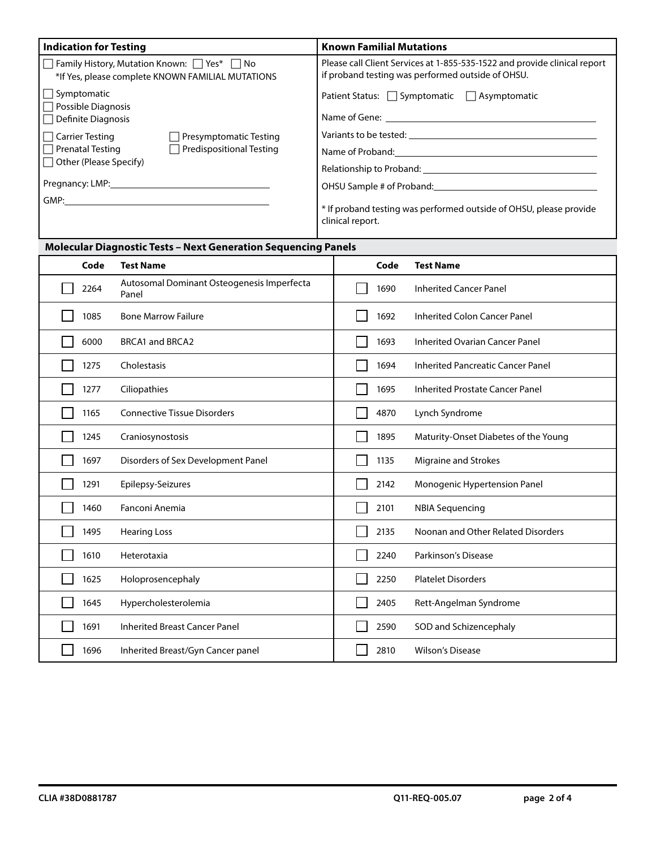| <b>Indication for Testing</b>                                                                                                                                                                                                  | <b>Known Familial Mutations</b>                                                                                                |  |  |
|--------------------------------------------------------------------------------------------------------------------------------------------------------------------------------------------------------------------------------|--------------------------------------------------------------------------------------------------------------------------------|--|--|
| □ Family History, Mutation Known: □ Yes* □ No<br>*If Yes, please complete KNOWN FAMILIAL MUTATIONS                                                                                                                             | Please call Client Services at 1-855-535-1522 and provide clinical report<br>if proband testing was performed outside of OHSU. |  |  |
| $\Box$ Symptomatic<br>$\Box$ Possible Diagnosis                                                                                                                                                                                | Patient Status: $\Box$ Symptomatic $\Box$ Asymptomatic                                                                         |  |  |
| $\Box$ Definite Diagnosis<br>$\Box$ Carrier Testing<br>Presymptomatic Testing                                                                                                                                                  | Variants to be tested: Variants to be the state.                                                                               |  |  |
| $\Box$ Prenatal Testing<br>$\Box$ Predispositional Testing                                                                                                                                                                     | Name of Proband: The Contract of Proband:                                                                                      |  |  |
| $\Box$ Other (Please Specify)                                                                                                                                                                                                  |                                                                                                                                |  |  |
| Pregnancy: LMP: the contract of the contract of the contract of the contract of the contract of the contract of the contract of the contract of the contract of the contract of the contract of the contract of the contract o | OHSU Sample # of Proband: University of Assembla Proband:                                                                      |  |  |
| GMP:                                                                                                                                                                                                                           | * If proband testing was performed outside of OHSU, please provide<br>clinical report.                                         |  |  |

### **Molecular Diagnostic Tests – Next Generation Sequencing Panels**

| Code | <b>Test Name</b>                                    | Code | <b>Test Name</b>                         |
|------|-----------------------------------------------------|------|------------------------------------------|
| 2264 | Autosomal Dominant Osteogenesis Imperfecta<br>Panel | 1690 | <b>Inherited Cancer Panel</b>            |
| 1085 | <b>Bone Marrow Failure</b>                          | 1692 | <b>Inherited Colon Cancer Panel</b>      |
| 6000 | <b>BRCA1 and BRCA2</b>                              | 1693 | <b>Inherited Ovarian Cancer Panel</b>    |
| 1275 | Cholestasis                                         | 1694 | <b>Inherited Pancreatic Cancer Panel</b> |
| 1277 | Ciliopathies                                        | 1695 | <b>Inherited Prostate Cancer Panel</b>   |
| 1165 | <b>Connective Tissue Disorders</b>                  | 4870 | Lynch Syndrome                           |
| 1245 | Craniosynostosis                                    | 1895 | Maturity-Onset Diabetes of the Young     |
| 1697 | Disorders of Sex Development Panel                  | 1135 | Migraine and Strokes                     |
| 1291 | Epilepsy-Seizures                                   | 2142 | Monogenic Hypertension Panel             |
| 1460 | Fanconi Anemia                                      | 2101 | <b>NBIA Sequencing</b>                   |
| 1495 | <b>Hearing Loss</b>                                 | 2135 | Noonan and Other Related Disorders       |
| 1610 | Heterotaxia                                         | 2240 | Parkinson's Disease                      |
| 1625 | Holoprosencephaly                                   | 2250 | <b>Platelet Disorders</b>                |
| 1645 | Hypercholesterolemia                                | 2405 | Rett-Angelman Syndrome                   |
| 1691 | <b>Inherited Breast Cancer Panel</b>                | 2590 | SOD and Schizencephaly                   |
| 1696 | Inherited Breast/Gyn Cancer panel                   | 2810 | <b>Wilson's Disease</b>                  |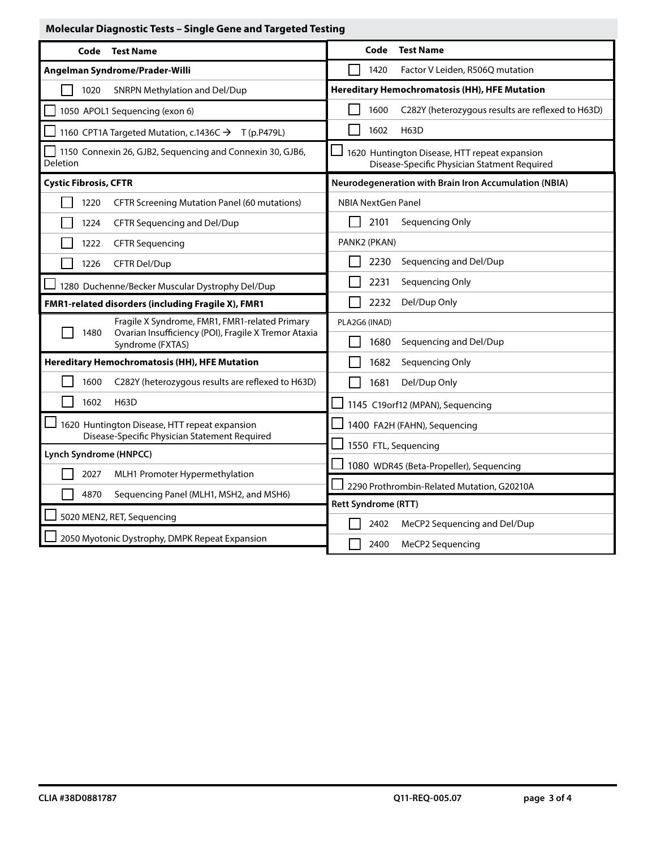### **Molecular Diagnostic Tests – Single Gene and Targeted Testing**

| Code<br><b>Test Name</b>                                                                                       | <b>Test Name</b><br>Code                                                                      |
|----------------------------------------------------------------------------------------------------------------|-----------------------------------------------------------------------------------------------|
| Angelman Syndrome/Prader-Willi                                                                                 | 1420<br>Factor V Leiden, R506Q mutation                                                       |
| 1020<br>SNRPN Methylation and Del/Dup                                                                          | <b>Hereditary Hemochromatosis (HH), HFE Mutation</b>                                          |
| 1050 APOL1 Sequencing (exon 6)                                                                                 | 1600<br>C282Y (heterozygous results are reflexed to H63D)                                     |
| 1160 CPT1A Targeted Mutation, c.1436C → T (p.P479L)                                                            | 1602<br><b>H63D</b>                                                                           |
| 1150 Connexin 26, GJB2, Sequencing and Connexin 30, GJB6,<br>Deletion                                          | 1620 Huntington Disease, HTT repeat expansion<br>Disease-Specific Physician Statment Required |
| <b>Cystic Fibrosis, CFTR</b>                                                                                   | Neurodegeneration with Brain Iron Accumulation (NBIA)                                         |
| 1220<br><b>CFTR Screening Mutation Panel (60 mutations)</b>                                                    | <b>NBIA NextGen Panel</b>                                                                     |
| 1224<br>CFTR Sequencing and Del/Dup                                                                            | 2101<br>Sequencing Only                                                                       |
| 1222<br><b>CFTR Sequencing</b>                                                                                 | PANK2 (PKAN)                                                                                  |
| 1226<br>CFTR Del/Dup                                                                                           | 2230<br>Sequencing and Del/Dup                                                                |
| 1280 Duchenne/Becker Muscular Dystrophy Del/Dup                                                                | 2231<br>Sequencing Only                                                                       |
| FMR1-related disorders (including Fragile X), FMR1                                                             | 2232<br>Del/Dup Only                                                                          |
| Fragile X Syndrome, FMR1, FMR1-related Primary<br>Ovarian Insufficiency (POI), Fragile X Tremor Ataxia<br>1480 | PLA2G6 (INAD)                                                                                 |
| Syndrome (FXTAS)                                                                                               | 1680<br>Sequencing and Del/Dup                                                                |
| <b>Hereditary Hemochromatosis (HH), HFE Mutation</b>                                                           | 1682<br>Sequencing Only                                                                       |
| C282Y (heterozygous results are reflexed to H63D)<br>1600                                                      | 1681<br>Del/Dup Only                                                                          |
| 1602<br><b>H63D</b>                                                                                            | 1145 C19orf12 (MPAN), Sequencing                                                              |
| 1620 Huntington Disease, HTT repeat expansion<br>Disease-Specific Physician Statement Required                 | 1400 FA2H (FAHN), Sequencing                                                                  |
| Lynch Syndrome (HNPCC)                                                                                         | 1550 FTL, Sequencing                                                                          |
| 2027<br>MLH1 Promoter Hypermethylation                                                                         | 1080 WDR45 (Beta-Propeller), Sequencing                                                       |
| 4870<br>Sequencing Panel (MLH1, MSH2, and MSH6)                                                                | 2290 Prothrombin-Related Mutation, G20210A                                                    |
| 5020 MEN2, RET, Sequencing                                                                                     | <b>Rett Syndrome (RTT)</b>                                                                    |
| 2050 Myotonic Dystrophy, DMPK Repeat Expansion                                                                 | 2402<br>MeCP2 Sequencing and Del/Dup<br>2400<br>MeCP2 Sequencing                              |